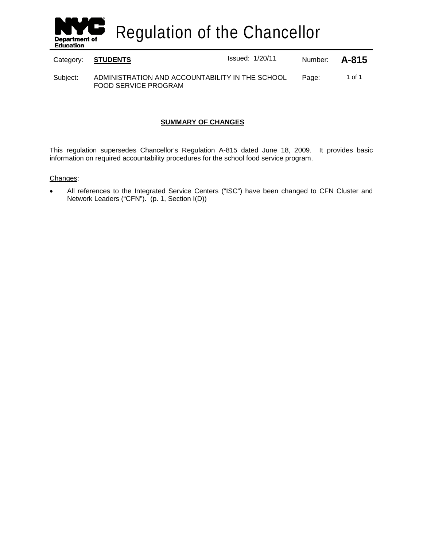

Regulation of the Chancellor

Category: **STUDENTS ISSUE ISSUED:** Issued: 1/20/11 Number: **A-815** 

Subject: ADMINISTRATION AND ACCOUNTABILITY IN THE SCHOOL FOOD SERVICE PROGRAM Page: 1 of 1

# **SUMMARY OF CHANGES**

This regulation supersedes Chancellor's Regulation A-815 dated June 18, 2009. It provides basic information on required accountability procedures for the school food service program.

# Changes :

All references to the Integrated Service Centers ("ISC") have been changed to CFN Cluster and Network Leaders ("CFN"). (p. 1, Section I(D))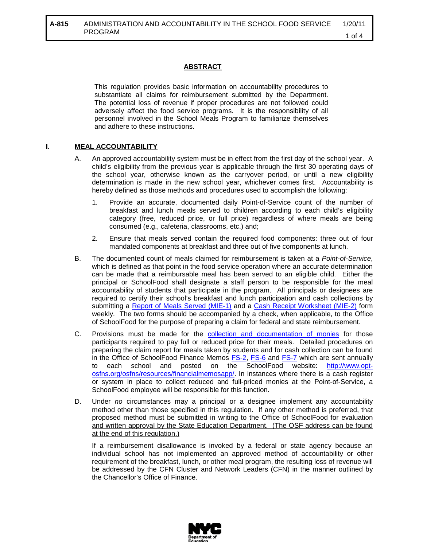# **ABSTRACT**

This regulation provides basic information on accountability procedures to substantiate all claims for reimbursement submitted by the Department. The potential loss of revenue if proper procedures are not followed could adversely affect the food service programs. It is the responsibility of all personnel involved in the School Meals Program to familiarize themselves and adhere to these instructions.

# **I. MEAL ACCOUNTABILITY**

- A. An approved accountability system must be in effect from the first day of the school year. A child's eligibility from the previous year is applicable through the first 30 operating days of the school year, otherwise known as the carryover period, or until a new eligibility determination is made in the new school year, whichever comes first. Accountability is hereby defined as those methods and procedures used to accomplish the following:
	- 1. Provide an accurate, documented daily Point-of-Service count of the number of breakfast and lunch meals served to children according to each child's eligibility category (free, reduced price, or full price) regardless of where meals are being consumed (e.g., cafeteria, classrooms, etc.) and;
	- 2. Ensure that meals served contain the required food components: three out of four mandated components at breakfast and three out of five components at lunch.
- B. The documented count of meals claimed for reimbursement is taken at a *Point-of-Service*, which is defined as that point in the food service operation where an accurate determination can be made that a reimbursable meal has been served to an eligible child. Either the principal or SchoolFood shall designate a staff person to be responsible for the meal accountability of students that participate in the program. All principals or designees are required to certify their school's breakfast and lunch participation and cash collections by submitting a [Report of Meals Served \(MIE-1\)](http://www.opt-osfns.org/osfns/resources/financialmemos/memos/Memos2007_2008/FS-6Instructions%20for%20Completing%20the%20Weekly%20REPORT%20OF%20MEALS%20SERVED%20(MIE-1)%20Form.pdf) and a [Cash Receipt Worksheet \(MIE-2\)](http://www.opt-osfns.org/osfns/resources/financialmemos/memos/FS-2.pdf) form weekly. The two forms should be accompanied by a check, when applicable, to the Office of SchoolFood for the purpose of preparing a claim for federal and state reimbursement.
- C. Provisions must be made for the [collection and documentation of monies](http://www.opt-osfns.org/osfns/resources/financialmemos/memos/Memos2007_2008/FS-7Handling%20of%20Office%20of%20School%20Food%20and%20Nutrition%20Services%20Money.pdf) for those participants required to pay full or reduced price for their meals. Detailed procedures on preparing the claim report for meals taken by students and for cash collection can be found in the Office of SchoolFood Finance Memos **FS-2, [FS-6](http://www.opt-osfns.org/osfns/resources/financialmemos/memos/Memos2007_2008/FS-6Instructions%20for%20Completing%20the%20Weekly%20REPORT%20OF%20MEALS%20SERVED%20(MIE-1)%20Form.pdf)** and **FS-7** which are sent annually to each school and posted on the SchoolFood website: [http://www.opt](http://www.opt-osfns.org/osfns/resources/financialmemosapp/)[osfns.org/osfns/resources/financialmemosapp/.](http://www.opt-osfns.org/osfns/resources/financialmemosapp/) In instances where there is a cash register or system in place to collect reduced and full-priced monies at the Point-of-Service, a SchoolFood employee will be responsible for this function.
- D. Under *no* circumstances may a principal or a designee implement any accountability method other than those specified in this regulation. If any other method is preferred, that proposed method must be submitted in writing to the Office of SchoolFood for evaluation and written approval by the State Education Department. (The OSF address can be found at the end of this regulation.)

If a reimbursement disallowance is invoked by a federal or state agency because an individual school has not implemented an approved method of accountability or other requirement of the breakfast, lunch, or other meal program, the resulting loss of revenue will be addressed by the CFN Cluster and Network Leaders (CFN) in the manner outlined by the Chancellor's Office of Finance.

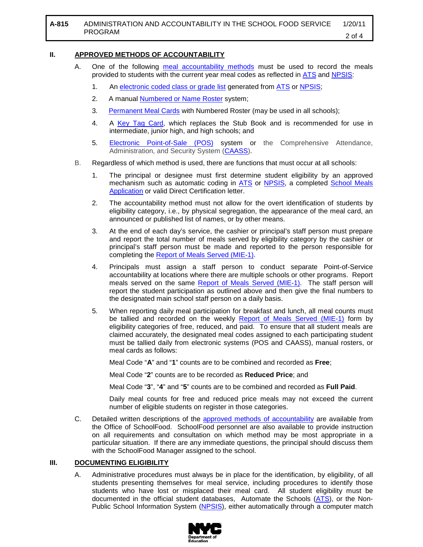### **II. APPROVED METHODS OF ACCOUNTABILITY**

- A. One of the following [meal accountability methods](http://www.opt-osfns.org/osfns/meals/default.aspx) must be used to record the meals provided to students with the current year meal codes as reflected in [ATS](http://schools.nyc.gov/Offices/FinanceandAdministration/DIIT/ATS/default.htm) and [NPSIS:](https://www.nycenet.edu/npsis)
	- 1. An [electronic coded class or grade list](http://www.opt-osfns.org/osfns/meals/default.aspx) generated from [ATS](http://schools.nyc.gov/Offices/FinanceandAdministration/DIIT/ATS/default.htm) or NPSIS,
	- 2. A manual **Numbered or Name Roster** system;
	- 3. [Permanent Meal Cards](http://www.opt-osfns.org/osfns/meals/default.aspx) with Numbered Roster (may be used in all schools);
	- 4. A [Key Tag Card,](http://www.opt-osfns.org/osfns/meals/default.aspx) which replaces the Stub Book and is recommended for use in intermediate, junior high, and high schools; and
	- 5. [Electronic Point-of-Sale \(POS\)](http://www.opt-osfns.org/osfns/meals/default.aspx) system or the Comprehensive Attendance, Administration, and Security System [\(CAASS\)](http://www.opt-osfns.org/osfns/meals/default.aspx).
- B. Regardless of which method is used, there are functions that must occur at all schools:
	- 1. The principal or designee must first determine student eligibility by an approved mechanism such as automatic coding in [ATS](http://schools.nyc.gov/Offices/FinanceandAdministration/DIIT/ATS/default.htm) or [NPSIS,](https://www.nycenet.edu/npsis) a completed School Meals [Application](http://www.opt-osfns.org/osfns/forms/schmeals_english.pdf) or valid Direct Certification letter.
	- 2. The accountability method must not allow for the overt identification of students by eligibility category, i.e., by physical segregation, the appearance of the meal card, an announced or published list of names, or by other means.
	- 3. At the end of each day's service, the cashier or principal's staff person must prepare and report the total number of meals served by eligibility category by the cashier or principal's staff person must be made and reported to the person responsible for completing the [Report of Meals Served \(MIE-1\).](http://www.opt-osfns.org/osfns/resources/financialmemos/memos/Memos2007_2008/FS-6Instructions%20for%20Completing%20the%20Weekly%20REPORT%20OF%20MEALS%20SERVED%20(MIE-1)%20Form.pdf)
	- 4. Principals must assign a staff person to conduct separate Point-of-Service accountability at locations where there are multiple schools or other programs. Report meals served on the same [Report of Meals Served \(MIE-1\).](http://www.opt-osfns.org/osfns/resources/financialmemos/memos/Memos2007_2008/FS-6Instructions%20for%20Completing%20the%20Weekly%20REPORT%20OF%20MEALS%20SERVED%20(MIE-1)%20Form.pdf) The staff person will report the student participation as outlined above and then give the final numbers to the designated main school staff person on a daily basis.
	- 5. When reporting daily meal participation for breakfast and lunch, all meal counts must be tallied and recorded on the weekly [Report of Meals Served \(MIE-1\)](http://www.opt-osfns.org/osfns/resources/financialmemos/memos/Memos2007_2008/FS-6Instructions%20for%20Completing%20the%20Weekly%20REPORT%20OF%20MEALS%20SERVED%20(MIE-1)%20Form.pdf) form by eligibility categories of free, reduced, and paid. To ensure that all student meals are claimed accurately, the designated meal codes assigned to each participating student must be tallied daily from electronic systems (POS and CAASS), manual rosters, or meal cards as follows:

Meal Code "**A**" and "**1**" counts are to be combined and recorded as **Free**;

Meal Code "**2**" counts are to be recorded as **Reduced Price**; and

Meal Code "**3**", "**4**" and "**5**" counts are to be combined and recorded as **Full Paid**.

Daily meal counts for free and reduced price meals may not exceed the current number of eligible students on register in those categories.

C. Detailed written descriptions of the [approved methods of accountability](http://www.opt-osfns.org/osfns/meals/default.aspx) are available from the Office of SchoolFood. SchoolFood personnel are also available to provide instruction on all requirements and consultation on which method may be most appropriate in a particular situation. If there are any immediate questions, the principal should discuss them with the SchoolFood Manager assigned to the school.

#### **III. DOCUMENTING ELIGIBILITY**

A. Administrative procedures must always be in place for the identification, by eligibility, of all students presenting themselves for meal service, including procedures to identify those students who have lost or misplaced their meal card. All student eligibility must be documented in the official student databases, Automate the Schools ([ATS\)](http://schools.nyc.gov/Offices/FinanceandAdministration/DIIT/ATS/default.htm), or the Non-Public School Information System [\(NPSIS\)](https://www.nycenet.edu/npsis), either automatically through a computer match

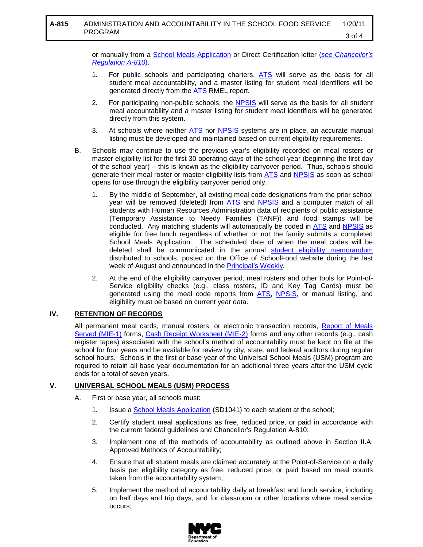or manually from a [School Meals Application](http://www.opt-osfns.org/osfns/forms/schmeals_english.pdf) or Direct Certification letter (*[see Chancellor's](http://docs.nycenet.edu/docushare/dsweb/Get/Document-40/A-810.pdf)  [Regulation A-810](http://docs.nycenet.edu/docushare/dsweb/Get/Document-40/A-810.pdf)*).

- 1. For public schools and participating charters, [ATS](http://schools.nyc.gov/Offices/FinanceandAdministration/DIIT/ATS/default.htm) will serve as the basis for all student meal accountability, and a master listing for student meal identifiers will be generated directly from the [ATS](http://schools.nyc.gov/Offices/FinanceandAdministration/DIIT/ATS/default.htm) RMEL report.
- 2. For participating non-public schools, the [NPSIS](https://www.nycenet.edu/npsis) will serve as the basis for all student meal accountability and a master listing for student meal identifiers will be generated directly from this system.
- 3. At schools where neither [ATS](http://schools.nyc.gov/Offices/FinanceandAdministration/DIIT/ATS/default.htm) nor [NPSIS](https://www.nycenet.edu/npsis) systems are in place, an accurate manual listing must be developed and maintained based on current eligibility requirements.
- B. Schools may continue to use the previous year's eligibility recorded on meal rosters or master eligibility list for the first 30 operating days of the school year (beginning the first day of the school year) – this is known as the eligibility carryover period. Thus, schools should generate their meal roster or master eligibility lists from [ATS](http://schools.nyc.gov/Offices/FinanceandAdministration/DIIT/ATS/default.htm) and [NPSIS](https://www.nycenet.edu/npsis) as soon as school opens for use through the eligibility carryover period only.
	- 1. By the middle of September, all existing meal code designations from the prior school year will be removed (deleted) from [ATS](http://schools.nyc.gov/Offices/FinanceandAdministration/DIIT/ATS/default.htm) and [NPSIS](https://www.nycenet.edu/npsis) and a computer match of all students with Human Resources Administration data of recipients of public assistance (Temporary Assistance to Needy Families (TANF)) and food stamps will be conducted. Any matching students will automatically be coded in [ATS](http://schools.nyc.gov/Offices/FinanceandAdministration/DIIT/ATS/default.htm) and [NPSIS](https://www.nycenet.edu/npsis) as eligible for free lunch regardless of whether or not the family submits a completed School Meals Application. The scheduled date of when the meal codes will be deleted shall be communicated in the annual [student eligibility memorandum](http://www.opt-osfns.org/osfns/forms/2007-08%20Eligibility%20Guidelines%20For%20Free%20and%20Reduced%20Price%20Meals%20_WEB_.pdf) distributed to schools, posted on the Office of SchoolFood website during the last week of August and announced in the **Principal's Weekly**.
	- 2. At the end of the eligibility carryover period, meal rosters and other tools for Point-of-Service eligibility checks (e.g., class rosters, ID and Key Tag Cards) must be generated using the meal code reports from [ATS,](http://schools.nyc.gov/Offices/FinanceandAdministration/DIIT/ATS/default.htm) [NPSIS,](https://www.nycenet.edu/npsis) or manual listing, and eligibility must be based on current year data.

# **IV. RETENTION OF RECORDS**

All permanent meal cards, manual rosters, or electronic transaction records, <u>Report of Meals</u> [Served \(MIE-1\)](http://www.opt-osfns.org/osfns/resources/financialmemos/memos/Memos2007_2008/FS-6Instructions%20for%20Completing%20the%20Weekly%20REPORT%20OF%20MEALS%20SERVED%20(MIE-1)%20Form.pdf) forms, [Cash Receipt Worksheet \(MIE-2\)](http://www.opt-osfns.org/osfns/resources/financialmemos/memos/FS-2.pdf) forms and any other records (e.g., cash register tapes) associated with the school's method of accountability must be kept on file at the school for four years and be available for review by city, state, and federal auditors during regular school hours. Schools in the first or base year of the Universal School Meals (USM) program are required to retain all base year documentation for an additional three years after the USM cycle ends for a total of seven years.

# **V. UNIVERSAL SCHOOL MEALS (USM) PROCESS**

- A. First or base year, all schools must:
	- 1. Issue a **School Meals Application** (SD1041) to each student at the school;
	- 2. Certify student meal applications as free, reduced price, or paid in accordance with the current federal guidelines and Chancellor's Regulation A-810;
	- 3. Implement one of the methods of accountability as outlined above in Section II.A: Approved Methods of Accountability;
	- 4. Ensure that all student meals are claimed accurately at the Point-of-Service on a daily basis per eligibility category as free, reduced price, or paid based on meal counts taken from the accountability system;
	- 5. Implement the method of accountability daily at breakfast and lunch service, including on half days and trip days, and for classroom or other locations where meal service occurs;